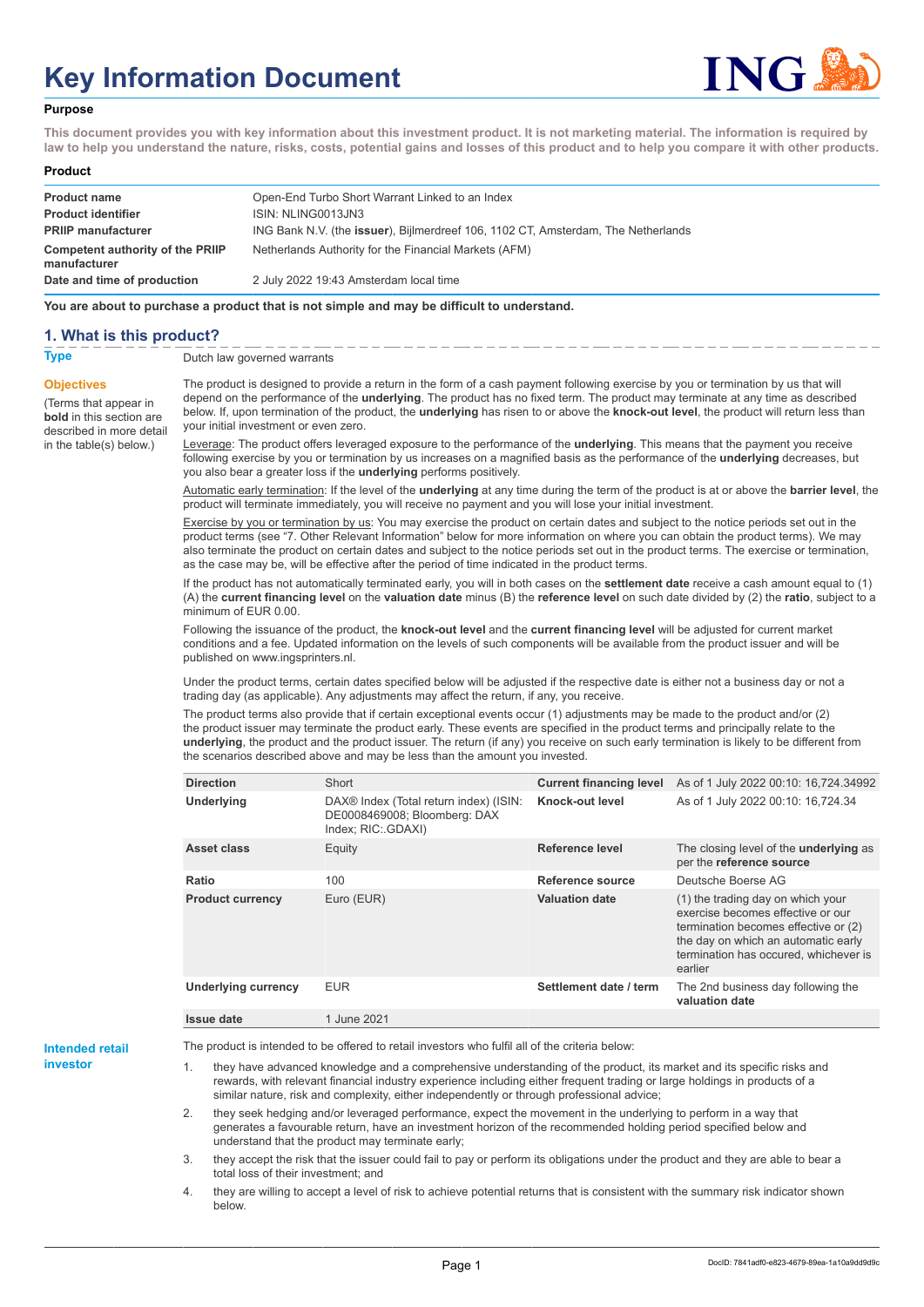# **Key Information Document**



#### **Purpose**

**This document provides you with key information about this investment product. It is not marketing material. The information is required by law to help you understand the nature, risks, costs, potential gains and losses of this product and to help you compare it with other products.**

#### **Product**

| <b>Product name</b>                              | Open-End Turbo Short Warrant Linked to an Index                                   |
|--------------------------------------------------|-----------------------------------------------------------------------------------|
| <b>Product identifier</b>                        | ISIN: NLING0013JN3                                                                |
| <b>PRIIP manufacturer</b>                        | ING Bank N.V. (the issuer), Bijlmerdreef 106, 1102 CT, Amsterdam, The Netherlands |
| Competent authority of the PRIIP<br>manufacturer | Netherlands Authority for the Financial Markets (AFM)                             |
| Date and time of production                      | 2 July 2022 19:43 Amsterdam local time                                            |

**You are about to purchase a product that is not simple and may be difficult to understand.**

### **1. What is this product?**

**Objectives**

(Terms that appear in **bold** in this section are

in the table(s) below.)

**Type** Dutch law governed warrants

described in more detail The product is designed to provide a return in the form of a cash payment following exercise by you or termination by us that will depend on the performance of the **underlying**. The product has no fixed term. The product may terminate at any time as described below. If, upon termination of the product, the **underlying** has risen to or above the **knock-out level**, the product will return less than your initial investment or even zero.

> Leverage: The product offers leveraged exposure to the performance of the **underlying**. This means that the payment you receive following exercise by you or termination by us increases on a magnified basis as the performance of the **underlying** decreases, but you also bear a greater loss if the **underlying** performs positively.

Automatic early termination: If the level of the **underlying** at any time during the term of the product is at or above the **barrier level**, the product will terminate immediately, you will receive no payment and you will lose your initial investment.

Exercise by you or termination by us: You may exercise the product on certain dates and subject to the notice periods set out in the product terms (see "7. Other Relevant Information" below for more information on where you can obtain the product terms). We may also terminate the product on certain dates and subject to the notice periods set out in the product terms. The exercise or termination, as the case may be, will be effective after the period of time indicated in the product terms.

If the product has not automatically terminated early, you will in both cases on the **settlement date** receive a cash amount equal to (1) (A) the **current financing level** on the **valuation date** minus (B) the **reference level** on such date divided by (2) the **ratio**, subject to a minimum of EUR 0.00.

Following the issuance of the product, the **knock-out level** and the **current financing level** will be adjusted for current market conditions and a fee. Updated information on the levels of such components will be available from the product issuer and will be published on www.ingsprinters.nl.

Under the product terms, certain dates specified below will be adjusted if the respective date is either not a business day or not a trading day (as applicable). Any adjustments may affect the return, if any, you receive.

The product terms also provide that if certain exceptional events occur (1) adjustments may be made to the product and/or (2) the product issuer may terminate the product early. These events are specified in the product terms and principally relate to the **underlying**, the product and the product issuer. The return (if any) you receive on such early termination is likely to be different from the scenarios described above and may be less than the amount you invested.

| <b>Direction</b>           | Short                                                                                                    | <b>Current financing level</b> | As of 1 July 2022 00:10: 16,724.34992                                                                                                                                                                     |
|----------------------------|----------------------------------------------------------------------------------------------------------|--------------------------------|-----------------------------------------------------------------------------------------------------------------------------------------------------------------------------------------------------------|
| <b>Underlying</b>          | DAX <sup>®</sup> Index (Total return index) (ISIN:<br>DE0008469008; Bloomberg: DAX<br>Index; RIC: GDAXI) | Knock-out level                | As of 1 July 2022 00:10: 16,724.34                                                                                                                                                                        |
| Asset class                | Equity                                                                                                   | Reference level                | The closing level of the <b>underlying</b> as<br>per the reference source                                                                                                                                 |
| Ratio                      | 100                                                                                                      | Reference source               | Deutsche Boerse AG                                                                                                                                                                                        |
| <b>Product currency</b>    | Euro (EUR)                                                                                               | <b>Valuation date</b>          | (1) the trading day on which your<br>exercise becomes effective or our<br>termination becomes effective or (2)<br>the day on which an automatic early<br>termination has occured, whichever is<br>earlier |
| <b>Underlying currency</b> | <b>EUR</b>                                                                                               | Settlement date / term         | The 2nd business day following the<br>valuation date                                                                                                                                                      |
| <b>Issue date</b>          | 1 June 2021                                                                                              |                                |                                                                                                                                                                                                           |

**Intended retail investor**

The product is intended to be offered to retail investors who fulfil all of the criteria below:

they have advanced knowledge and a comprehensive understanding of the product, its market and its specific risks and rewards, with relevant financial industry experience including either frequent trading or large holdings in products of a similar nature, risk and complexity, either independently or through professional advice;

2. they seek hedging and/or leveraged performance, expect the movement in the underlying to perform in a way that generates a favourable return, have an investment horizon of the recommended holding period specified below and understand that the product may terminate early;

3. they accept the risk that the issuer could fail to pay or perform its obligations under the product and they are able to bear a total loss of their investment; and

4. they are willing to accept a level of risk to achieve potential returns that is consistent with the summary risk indicator shown below.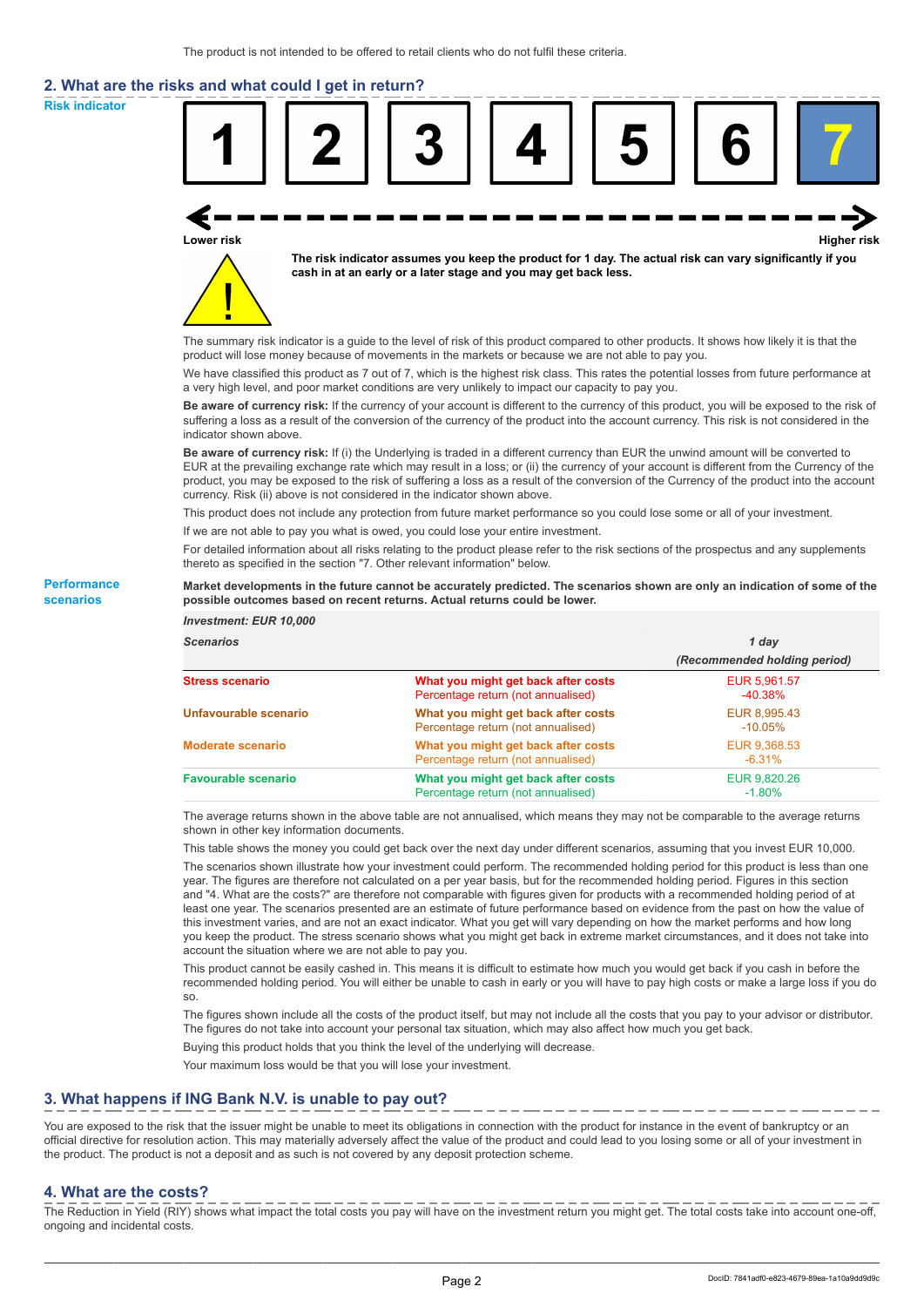# **2. What are the risks and what could I get in return?**

**Risk indicator**

**Performance scenarios**



thereto as specified in the section "7. Other relevant information" below.

#### **Market developments in the future cannot be accurately predicted. The scenarios shown are only an indication of some of the possible outcomes based on recent returns. Actual returns could be lower.**

| <b>Investment: EUR 10,000</b> |                                                                           |                              |
|-------------------------------|---------------------------------------------------------------------------|------------------------------|
| <b>Scenarios</b>              |                                                                           | 1 day                        |
|                               |                                                                           | (Recommended holding period) |
| <b>Stress scenario</b>        | What you might get back after costs<br>Percentage return (not annualised) | EUR 5.961.57<br>$-40.38%$    |
| Unfavourable scenario         | What you might get back after costs<br>Percentage return (not annualised) | EUR 8,995.43<br>$-10.05\%$   |
| <b>Moderate scenario</b>      | What you might get back after costs<br>Percentage return (not annualised) | EUR 9,368.53<br>$-6.31%$     |
| <b>Favourable scenario</b>    | What you might get back after costs<br>Percentage return (not annualised) | EUR 9.820.26<br>$-1.80%$     |

The average returns shown in the above table are not annualised, which means they may not be comparable to the average returns shown in other key information documents.

This table shows the money you could get back over the next day under different scenarios, assuming that you invest EUR 10,000.

The scenarios shown illustrate how your investment could perform. The recommended holding period for this product is less than one year. The figures are therefore not calculated on a per year basis, but for the recommended holding period. Figures in this section and "4. What are the costs?" are therefore not comparable with figures given for products with a recommended holding period of at least one year. The scenarios presented are an estimate of future performance based on evidence from the past on how the value of this investment varies, and are not an exact indicator. What you get will vary depending on how the market performs and how long you keep the product. The stress scenario shows what you might get back in extreme market circumstances, and it does not take into account the situation where we are not able to pay you.

This product cannot be easily cashed in. This means it is difficult to estimate how much you would get back if you cash in before the recommended holding period. You will either be unable to cash in early or you will have to pay high costs or make a large loss if you do so.

The figures shown include all the costs of the product itself, but may not include all the costs that you pay to your advisor or distributor. The figures do not take into account your personal tax situation, which may also affect how much you get back.

Buying this product holds that you think the level of the underlying will decrease.

Your maximum loss would be that you will lose your investment.

## **3. What happens if ING Bank N.V. is unable to pay out?**

You are exposed to the risk that the issuer might be unable to meet its obligations in connection with the product for instance in the event of bankruptcy or an official directive for resolution action. This may materially adversely affect the value of the product and could lead to you losing some or all of your investment in the product. The product is not a deposit and as such is not covered by any deposit protection scheme.

### **4. What are the costs?**

The Reduction in Yield (RIY) shows what impact the total costs you pay will have on the investment return you might get. The total costs take into account one-off, ongoing and incidental costs.